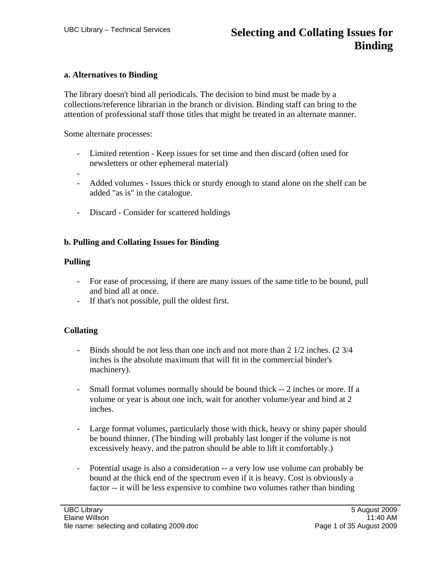### **a. Alternatives to Binding**

The library doesn't bind all periodicals. The decision to bind must be made by a collections/reference librarian in the branch or division. Binding staff can bring to the attention of professional staff those titles that might be treated in an alternate manner.

Some alternate processes:

- Limited retention Keep issues for set time and then discard (often used for newsletters or other ephemeral material)
- - Added volumes - Issues thick or sturdy enough to stand alone on the shelf can be added "as is" in the catalogue.
- Discard Consider for scattered holdings

## **b. Pulling and Collating Issues for Binding**

### **Pulling**

- For ease of processing, if there are many issues of the same title to be bound, pull and bind all at once.
- If that's not possible, pull the oldest first.

# **Collating**

- Binds should be not less than one inch and not more than 2 1/2 inches. (2 3/4 inches is the absolute maximum that will fit in the commercial binder's machinery).
- Small format volumes normally should be bound thick -- 2 inches or more. If a volume or year is about one inch, wait for another volume/year and bind at 2 inches.
- Large format volumes, particularly those with thick, heavy or shiny paper should be bound thinner. (The binding will probably last longer if the volume is not excessively heavy, and the patron should be able to lift it comfortably.)
- Potential usage is also a consideration -- a very low use volume can probably be bound at the thick end of the spectrum even if it is heavy. Cost is obviously a factor -- it will be less expensive to combine two volumes rather than binding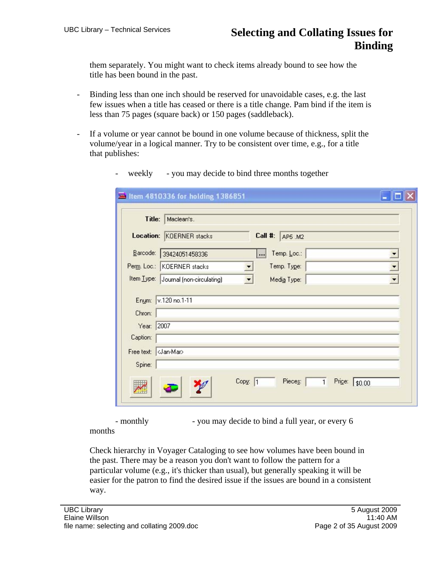them separately. You might want to check items already bound to see how the title has been bound in the past.

- Binding less than one inch should be reserved for unavoidable cases, e.g. the last few issues when a title has ceased or there is a title change. Pam bind if the item is less than 75 pages (square back) or 150 pages (saddleback).
- If a volume or year cannot be bound in one volume because of thickness, split the volume/year in a logical manner. Try to be consistent over time, e.g., for a title that publishes:

|                      | Title: Maclean's.                                                                         |
|----------------------|-------------------------------------------------------------------------------------------|
|                      | Location: KOERNER stacks<br>Call #: AP5 M2                                                |
|                      | Barcode: 39424051458336<br>Temp. Loc.:                                                    |
|                      | Perm. Loc.: KOERNER stacks<br>Temp. Type:<br>$\blacktriangledown$<br>$\blacktriangledown$ |
|                      | Item Type: Journal (non-circulating)<br>Media Type:<br>$\vert \cdot \vert$                |
| Chron:<br>Year: 2007 | Enum: v.120 no.1-11                                                                       |
| Caption:             |                                                                                           |
|                      |                                                                                           |
| Spine:               |                                                                                           |

- weekly - you may decide to bind three months together

- monthly - you may decide to bind a full year, or every 6 months

Check hierarchy in Voyager Cataloging to see how volumes have been bound in the past. There may be a reason you don't want to follow the pattern for a particular volume (e.g., it's thicker than usual), but generally speaking it will be easier for the patron to find the desired issue if the issues are bound in a consistent way.